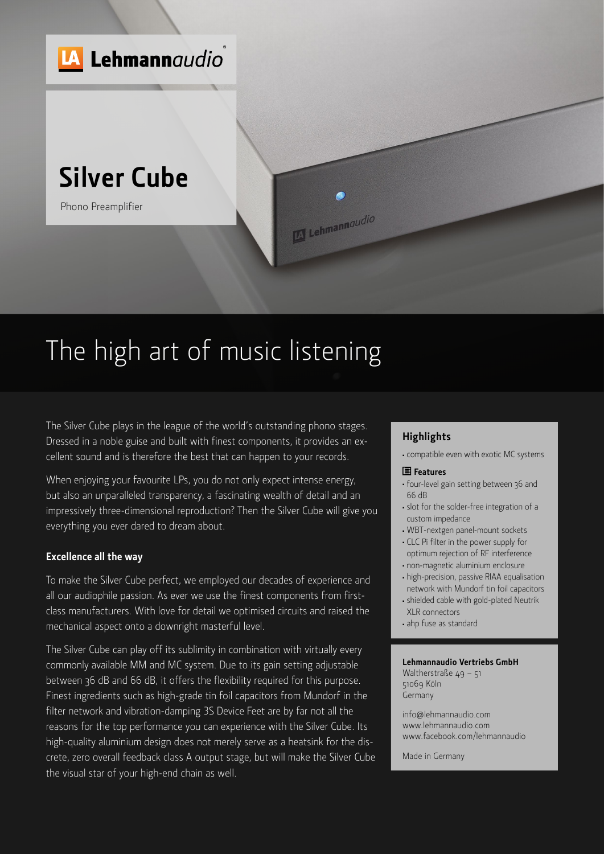

# The high art of music listening

The Silver Cube plays in the league of the world's outstanding phono stages. Dressed in a noble guise and built with finest components, it provides an excellent sound and is therefore the best that can happen to your records.

When enjoying your favourite LPs, you do not only expect intense energy, but also an unparalleled transparency, a fascinating wealth of detail and an impressively three-dimensional reproduction? Then the Silver Cube will give you everything you ever dared to dream about.

#### **Excellence all the way**

To make the Silver Cube perfect, we employed our decades of experience and all our audiophile passion. As ever we use the finest components from firstclass manufacturers. With love for detail we optimised circuits and raised the mechanical aspect onto a downright masterful level.

The Silver Cube can play off its sublimity in combination with virtually every commonly available MM and MC system. Due to its gain setting adjustable between 36 dB and 66 dB, it offers the flexibility required for this purpose. Finest ingredients such as high-grade tin foil capacitors from Mundorf in the filter network and vibration-damping 3S Device Feet are by far not all the reasons for the top performance you can experience with the Silver Cube. Its high-quality aluminium design does not merely serve as a heatsink for the discrete, zero overall feedback class A output stage, but will make the Silver Cube the visual star of your high-end chain as well.

### **Highlights**

<sup>≠</sup> compatible even with exotic MC systems

#### **Features**

- <sup>≠</sup> four-level gain setting between 36 and 66 dB
- <sup>≠</sup> slot for the solder-free integration of a custom impedance
- <sup>≠</sup> WBT-nextgen panel-mount sockets
- <sup>≠</sup> CLC Pi filter in the power supply for optimum rejection of RF interference
- <sup>≠</sup> non-magnetic aluminium enclosure
- <sup>≠</sup> high-precision, passive RIAA equalisation network with Mundorf tin foil capacitors
- <sup>≠</sup> shielded cable with gold-plated Neutrik XLR connectors
- <sup>≠</sup> ahp fuse as standard

#### **Lehmannaudio Vertriebs GmbH**

Waltherstraße 49 - 51 51069 Köln Germany

info@lehmannaudio.com www.lehmannaudio.com www.facebook.com/lehmannaudio

Made in Germany